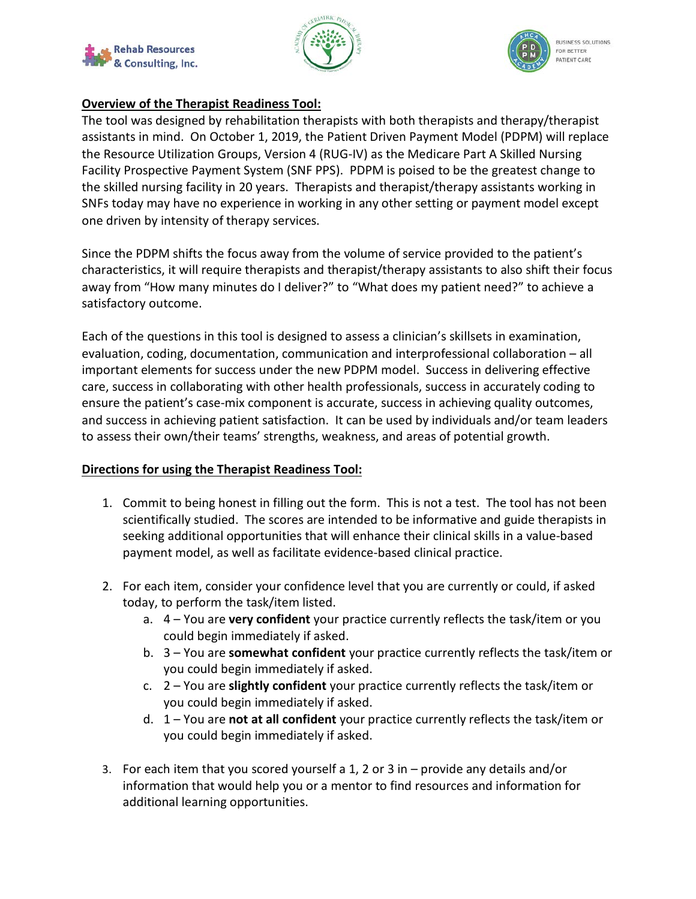





## **Overview of the Therapist Readiness Tool:**

The tool was designed by rehabilitation therapists with both therapists and therapy/therapist assistants in mind. On October 1, 2019, the Patient Driven Payment Model (PDPM) will replace the Resource Utilization Groups, Version 4 (RUG-IV) as the Medicare Part A Skilled Nursing Facility Prospective Payment System (SNF PPS). PDPM is poised to be the greatest change to the skilled nursing facility in 20 years. Therapists and therapist/therapy assistants working in SNFs today may have no experience in working in any other setting or payment model except one driven by intensity of therapy services.

Since the PDPM shifts the focus away from the volume of service provided to the patient's characteristics, it will require therapists and therapist/therapy assistants to also shift their focus away from "How many minutes do I deliver?" to "What does my patient need?" to achieve a satisfactory outcome.

Each of the questions in this tool is designed to assess a clinician's skillsets in examination, evaluation, coding, documentation, communication and interprofessional collaboration – all important elements for success under the new PDPM model. Success in delivering effective care, success in collaborating with other health professionals, success in accurately coding to ensure the patient's case-mix component is accurate, success in achieving quality outcomes, and success in achieving patient satisfaction. It can be used by individuals and/or team leaders to assess their own/their teams' strengths, weakness, and areas of potential growth.

## **Directions for using the Therapist Readiness Tool:**

- 1. Commit to being honest in filling out the form. This is not a test. The tool has not been scientifically studied. The scores are intended to be informative and guide therapists in seeking additional opportunities that will enhance their clinical skills in a value-based payment model, as well as facilitate evidence-based clinical practice.
- 2. For each item, consider your confidence level that you are currently or could, if asked today, to perform the task/item listed.
	- a. 4 You are **very confident** your practice currently reflects the task/item or you could begin immediately if asked.
	- b. 3 You are **somewhat confident** your practice currently reflects the task/item or you could begin immediately if asked.
	- c. 2 You are **slightly confident** your practice currently reflects the task/item or you could begin immediately if asked.
	- d. 1 You are **not at all confident** your practice currently reflects the task/item or you could begin immediately if asked.
- 3. For each item that you scored yourself a 1, 2 or 3 in provide any details and/or information that would help you or a mentor to find resources and information for additional learning opportunities.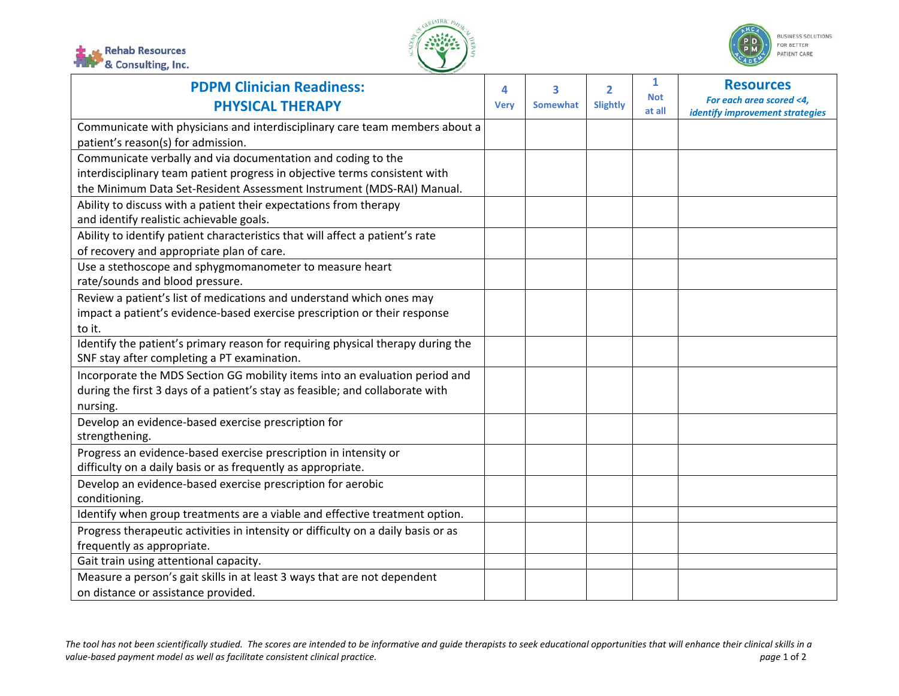





| <b>PDPM Clinician Readiness:</b>                                                                                               | 4           | 3               | $\overline{2}$ | 1                    | <b>Resources</b>                                            |
|--------------------------------------------------------------------------------------------------------------------------------|-------------|-----------------|----------------|----------------------|-------------------------------------------------------------|
| <b>PHYSICAL THERAPY</b>                                                                                                        | <b>Very</b> | <b>Somewhat</b> | Slightly       | <b>Not</b><br>at all | For each area scored <4,<br>identify improvement strategies |
| Communicate with physicians and interdisciplinary care team members about a<br>patient's reason(s) for admission.              |             |                 |                |                      |                                                             |
| Communicate verbally and via documentation and coding to the                                                                   |             |                 |                |                      |                                                             |
| interdisciplinary team patient progress in objective terms consistent with                                                     |             |                 |                |                      |                                                             |
| the Minimum Data Set-Resident Assessment Instrument (MDS-RAI) Manual.                                                          |             |                 |                |                      |                                                             |
| Ability to discuss with a patient their expectations from therapy<br>and identify realistic achievable goals.                  |             |                 |                |                      |                                                             |
| Ability to identify patient characteristics that will affect a patient's rate                                                  |             |                 |                |                      |                                                             |
| of recovery and appropriate plan of care.                                                                                      |             |                 |                |                      |                                                             |
| Use a stethoscope and sphygmomanometer to measure heart<br>rate/sounds and blood pressure.                                     |             |                 |                |                      |                                                             |
| Review a patient's list of medications and understand which ones may                                                           |             |                 |                |                      |                                                             |
| impact a patient's evidence-based exercise prescription or their response                                                      |             |                 |                |                      |                                                             |
| to it.                                                                                                                         |             |                 |                |                      |                                                             |
| Identify the patient's primary reason for requiring physical therapy during the<br>SNF stay after completing a PT examination. |             |                 |                |                      |                                                             |
| Incorporate the MDS Section GG mobility items into an evaluation period and                                                    |             |                 |                |                      |                                                             |
| during the first 3 days of a patient's stay as feasible; and collaborate with                                                  |             |                 |                |                      |                                                             |
| nursing.                                                                                                                       |             |                 |                |                      |                                                             |
| Develop an evidence-based exercise prescription for<br>strengthening.                                                          |             |                 |                |                      |                                                             |
| Progress an evidence-based exercise prescription in intensity or                                                               |             |                 |                |                      |                                                             |
| difficulty on a daily basis or as frequently as appropriate.                                                                   |             |                 |                |                      |                                                             |
| Develop an evidence-based exercise prescription for aerobic                                                                    |             |                 |                |                      |                                                             |
| conditioning.                                                                                                                  |             |                 |                |                      |                                                             |
| Identify when group treatments are a viable and effective treatment option.                                                    |             |                 |                |                      |                                                             |
| Progress therapeutic activities in intensity or difficulty on a daily basis or as                                              |             |                 |                |                      |                                                             |
| frequently as appropriate.                                                                                                     |             |                 |                |                      |                                                             |
| Gait train using attentional capacity.                                                                                         |             |                 |                |                      |                                                             |
| Measure a person's gait skills in at least 3 ways that are not dependent                                                       |             |                 |                |                      |                                                             |
| on distance or assistance provided.                                                                                            |             |                 |                |                      |                                                             |